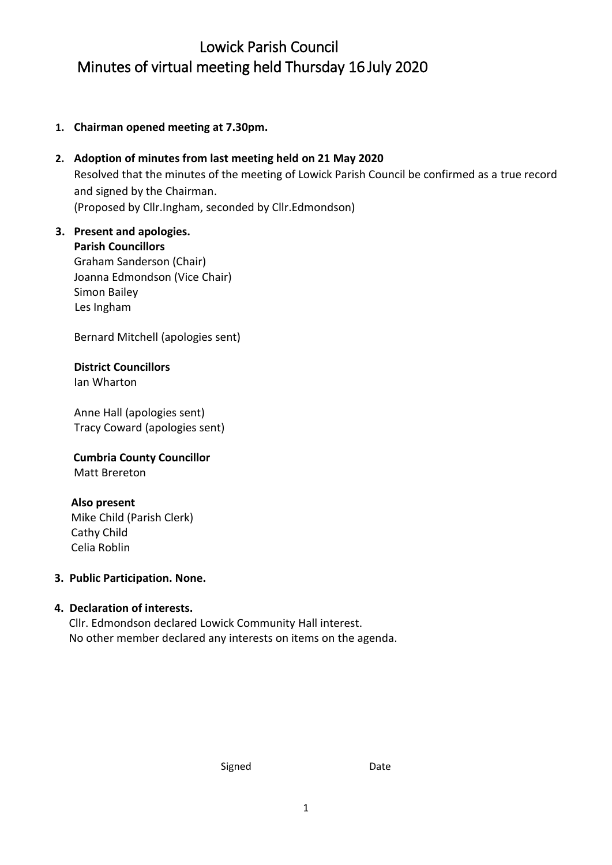# Lowick Parish Council Minutes of virtual meeting held Thursday 16 July 2020

**1. Chairman opened meeting at 7.30pm.**

# **2. Adoption of minutes from last meeting held on 21 May 2020** Resolved that the minutes of the meeting of Lowick Parish Council be confirmed as a true record and signed by the Chairman. (Proposed by Cllr.Ingham, seconded by Cllr.Edmondson)

### **3. Present and apologies. Parish Councillors** Graham Sanderson (Chair) Joanna Edmondson (Vice Chair) Simon Bailey

Bernard Mitchell (apologies sent)

### **District Councillors** Ian Wharton

Les Ingham

Anne Hall (apologies sent) Tracy Coward (apologies sent)

 **Cumbria County Councillor** Matt Brereton

# **Also present**

 Mike Child (Parish Clerk) Cathy Child Celia Roblin

## **3. Public Participation. None.**

## **4. Declaration of interests.**

Cllr. Edmondson declared Lowick Community Hall interest. No other member declared any interests on items on the agenda.

Signed Date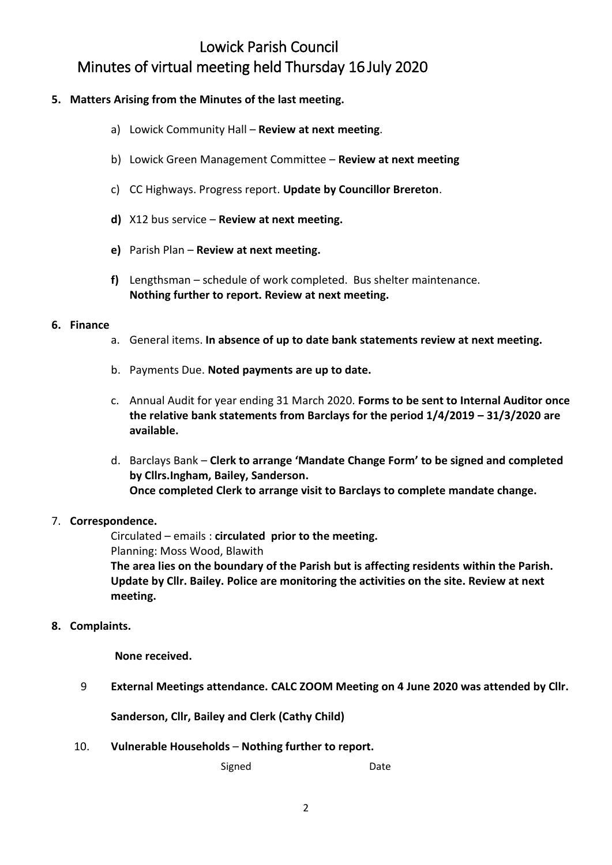# Lowick Parish Council Minutes of virtual meeting held Thursday 16 July 2020

### **5. Matters Arising from the Minutes of the last meeting.**

- a) Lowick Community Hall **Review at next meeting**.
- b) Lowick Green Management Committee **Review at next meeting**
- c) CC Highways. Progress report. **Update by Councillor Brereton**.
- **d)** X12 bus service **Review at next meeting.**
- **e)** Parish Plan **Review at next meeting.**
- **f)** Lengthsman schedule of work completed. Bus shelter maintenance. **Nothing further to report. Review at next meeting.**

#### **6. Finance**

- a. General items. **In absence of up to date bank statements review at next meeting.**
- b. Payments Due. **Noted payments are up to date.**
- c. Annual Audit for year ending 31 March 2020. **Forms to be sent to Internal Auditor once the relative bank statements from Barclays for the period 1/4/2019 – 31/3/2020 are available.**
- d. Barclays Bank **Clerk to arrange 'Mandate Change Form' to be signed and completed by Cllrs.Ingham, Bailey, Sanderson. Once completed Clerk to arrange visit to Barclays to complete mandate change.**

#### 7. **Correspondence.**

Circulated – emails : **circulated prior to the meeting.** Planning: Moss Wood, Blawith

**The area lies on the boundary of the Parish but is affecting residents within the Parish. Update by Cllr. Bailey. Police are monitoring the activities on the site. Review at next meeting.**

#### **8. Complaints.**

 **None received.**

9 **External Meetings attendance. CALC ZOOM Meeting on 4 June 2020 was attended by Cllr.** 

**Sanderson, Cllr, Bailey and Clerk (Cathy Child)**

10. **Vulnerable Households** – **Nothing further to report.**

Signed Date